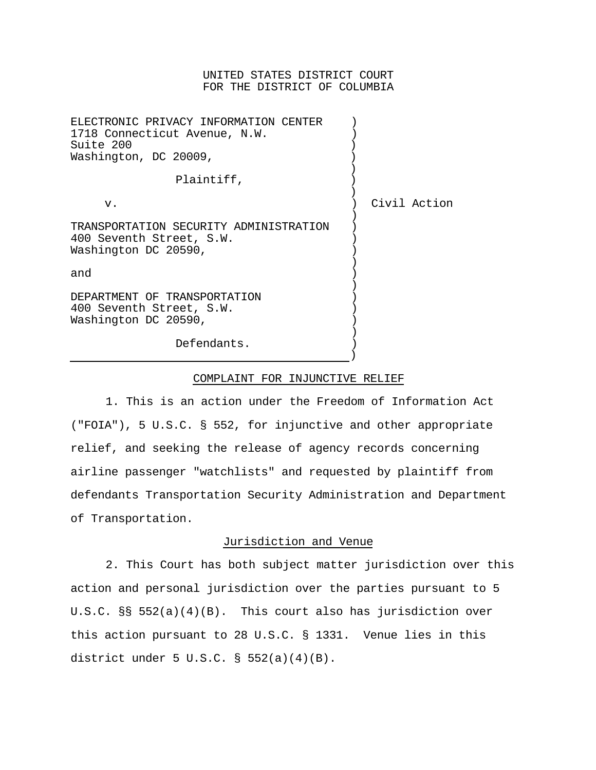### UNITED STATES DISTRICT COURT FOR THE DISTRICT OF COLUMBIA

| ELECTRONIC PRIVACY INFORMATION CENTER<br>1718 Connecticut Avenue, N.W.<br>Suite 200<br>Washington, DC 20009, |              |
|--------------------------------------------------------------------------------------------------------------|--------------|
| Plaintiff,                                                                                                   |              |
| $V$ .                                                                                                        | Civil Action |
| TRANSPORTATION SECURITY ADMINISTRATION<br>400 Seventh Street, S.W.<br>Washington DC 20590,                   |              |
| and                                                                                                          |              |
| DEPARTMENT OF TRANSPORTATION<br>400 Seventh Street, S.W.<br>Washington DC 20590,                             |              |
| Defendants.                                                                                                  |              |

#### COMPLAINT FOR INJUNCTIVE RELIEF

1. This is an action under the Freedom of Information Act ("FOIA"), 5 U.S.C. § 552, for injunctive and other appropriate relief, and seeking the release of agency records concerning airline passenger "watchlists" and requested by plaintiff from defendants Transportation Security Administration and Department of Transportation.

# Jurisdiction and Venue

2. This Court has both subject matter jurisdiction over this action and personal jurisdiction over the parties pursuant to 5 U.S.C. §§ 552(a)(4)(B). This court also has jurisdiction over this action pursuant to 28 U.S.C. § 1331. Venue lies in this district under 5 U.S.C. § 552(a)(4)(B).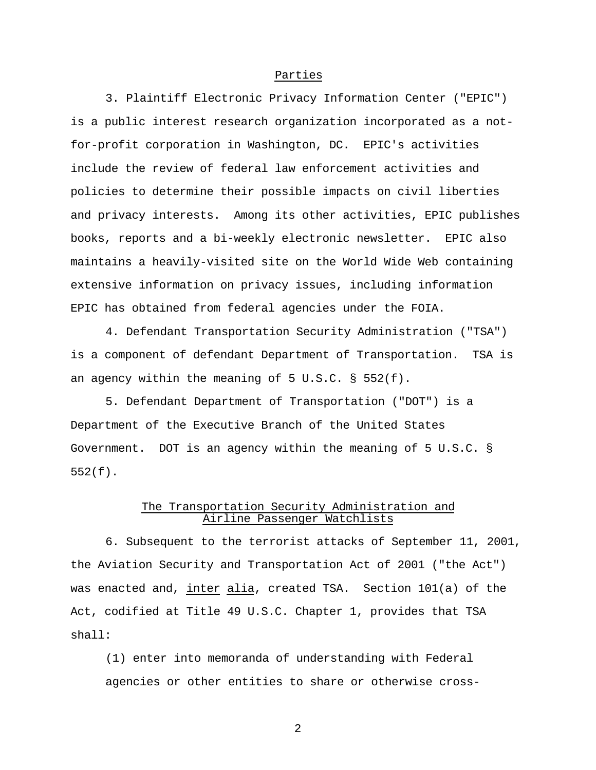### Parties

3. Plaintiff Electronic Privacy Information Center ("EPIC") is a public interest research organization incorporated as a notfor-profit corporation in Washington, DC. EPIC's activities include the review of federal law enforcement activities and policies to determine their possible impacts on civil liberties and privacy interests. Among its other activities, EPIC publishes books, reports and a bi-weekly electronic newsletter. EPIC also maintains a heavily-visited site on the World Wide Web containing extensive information on privacy issues, including information EPIC has obtained from federal agencies under the FOIA.

4. Defendant Transportation Security Administration ("TSA") is a component of defendant Department of Transportation. TSA is an agency within the meaning of 5 U.S.C. § 552(f).

5. Defendant Department of Transportation ("DOT") is a Department of the Executive Branch of the United States Government. DOT is an agency within the meaning of 5 U.S.C. § 552(f).

# The Transportation Security Administration and Airline Passenger Watchlists

6. Subsequent to the terrorist attacks of September 11, 2001, the Aviation Security and Transportation Act of 2001 ("the Act") was enacted and, inter alia, created TSA. Section 101(a) of the Act, codified at Title 49 U.S.C. Chapter 1, provides that TSA shall:

(1) enter into memoranda of understanding with Federal agencies or other entities to share or otherwise cross-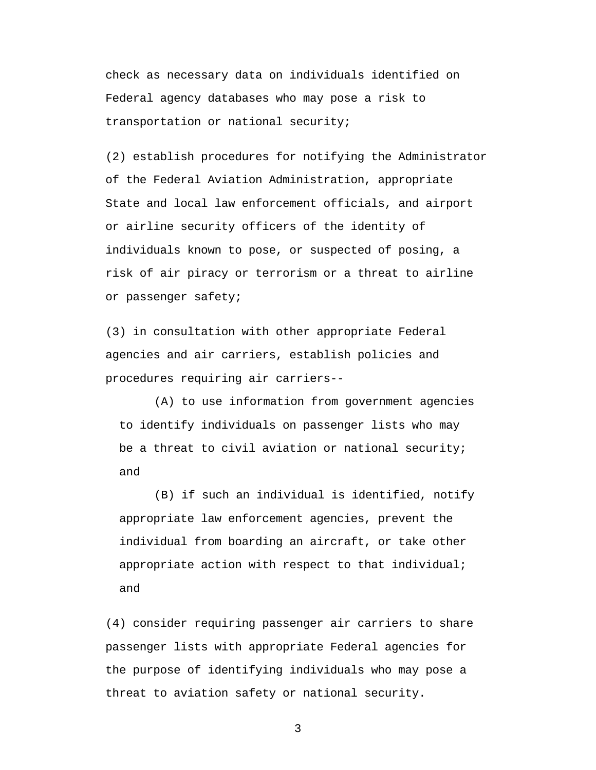check as necessary data on individuals identified on Federal agency databases who may pose a risk to transportation or national security;

(2) establish procedures for notifying the Administrator of the Federal Aviation Administration, appropriate State and local law enforcement officials, and airport or airline security officers of the identity of individuals known to pose, or suspected of posing, a risk of air piracy or terrorism or a threat to airline or passenger safety;

(3) in consultation with other appropriate Federal agencies and air carriers, establish policies and procedures requiring air carriers--

(A) to use information from government agencies to identify individuals on passenger lists who may be a threat to civil aviation or national security; and

(B) if such an individual is identified, notify appropriate law enforcement agencies, prevent the individual from boarding an aircraft, or take other appropriate action with respect to that individual; and

(4) consider requiring passenger air carriers to share passenger lists with appropriate Federal agencies for the purpose of identifying individuals who may pose a threat to aviation safety or national security.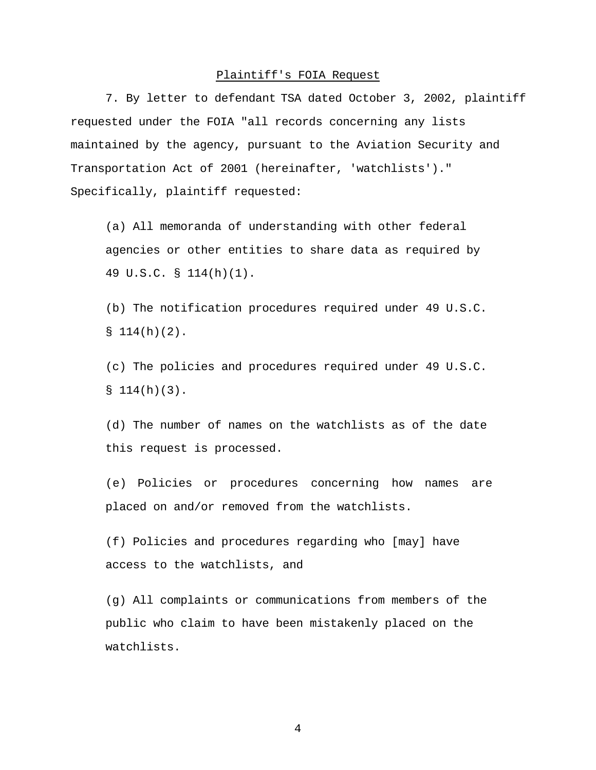### Plaintiff's FOIA Request

7. By letter to defendant TSA dated October 3, 2002, plaintiff requested under the FOIA "all records concerning any lists maintained by the agency, pursuant to the Aviation Security and Transportation Act of 2001 (hereinafter, 'watchlists')." Specifically, plaintiff requested:

(a) All memoranda of understanding with other federal agencies or other entities to share data as required by 49 U.S.C. § 114(h)(1).

(b) The notification procedures required under 49 U.S.C.  $$114(h)(2).$ 

(c) The policies and procedures required under 49 U.S.C.  $$114(h)(3).$ 

(d) The number of names on the watchlists as of the date this request is processed.

(e) Policies or procedures concerning how names are placed on and/or removed from the watchlists.

(f) Policies and procedures regarding who [may] have access to the watchlists, and

(g) All complaints or communications from members of the public who claim to have been mistakenly placed on the watchlists.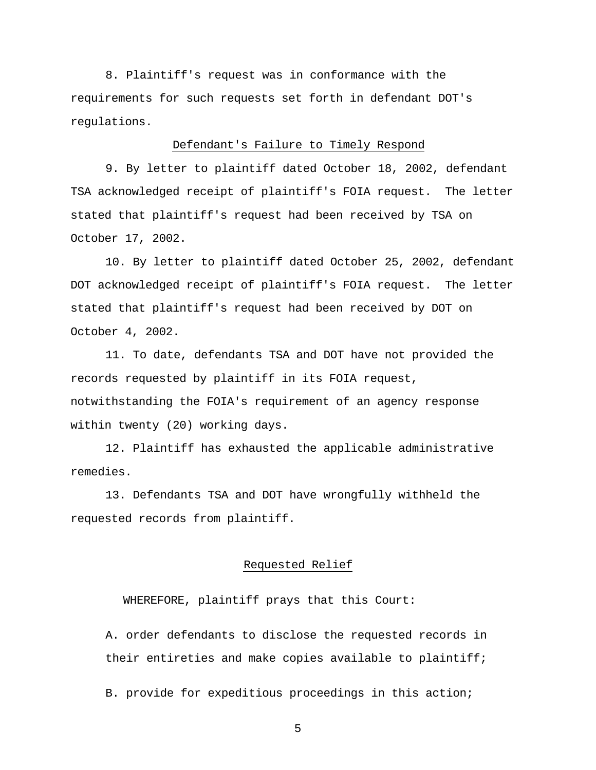8. Plaintiff's request was in conformance with the requirements for such requests set forth in defendant DOT's regulations.

### Defendant's Failure to Timely Respond

9. By letter to plaintiff dated October 18, 2002, defendant TSA acknowledged receipt of plaintiff's FOIA request. The letter stated that plaintiff's request had been received by TSA on October 17, 2002.

10. By letter to plaintiff dated October 25, 2002, defendant DOT acknowledged receipt of plaintiff's FOIA request. The letter stated that plaintiff's request had been received by DOT on October 4, 2002.

11. To date, defendants TSA and DOT have not provided the records requested by plaintiff in its FOIA request, notwithstanding the FOIA's requirement of an agency response within twenty (20) working days.

12. Plaintiff has exhausted the applicable administrative remedies.

13. Defendants TSA and DOT have wrongfully withheld the requested records from plaintiff.

### Requested Relief

WHEREFORE, plaintiff prays that this Court:

A. order defendants to disclose the requested records in their entireties and make copies available to plaintiff;

B. provide for expeditious proceedings in this action;